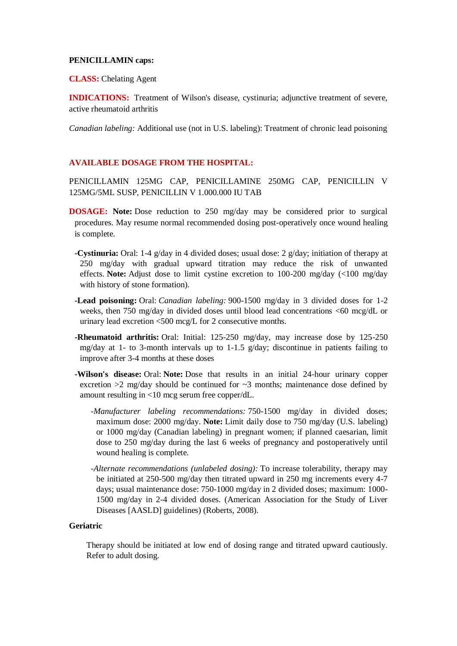#### **PENICILLAMIN caps:**

**CLASS:** Chelating Agent

**INDICATIONS:** Treatment of Wilson's disease, cystinuria; adjunctive treatment of severe, active rheumatoid arthritis

*Canadian labeling:* Additional use (not in U.S. labeling): Treatment of chronic lead poisoning

### **AVAILABLE DOSAGE FROM THE HOSPITAL:**

PENICILLAMIN 125MG CAP, PENICILLAMINE 250MG CAP, PENICILLIN V 125MG/5ML SUSP, PENICILLIN V 1.000.000 IU TAB

- **DOSAGE: Note:** Dose reduction to 250 mg/day may be considered prior to surgical procedures. May resume normal recommended dosing post-operatively once wound healing is complete.
	- **-Cystinuria:** Oral: 1-4 g/day in 4 divided doses; usual dose: 2 g/day; initiation of therapy at 250 mg/day with gradual upward titration may reduce the risk of unwanted effects. **Note:** Adjust dose to limit cystine excretion to 100-200 mg/day (<100 mg/day with history of stone formation).
	- **-Lead poisoning:** Oral: *Canadian labeling:* 900-1500 mg/day in 3 divided doses for 1-2 weeks, then 750 mg/day in divided doses until blood lead concentrations <60 mcg/dL or urinary lead excretion <500 mcg/L for 2 consecutive months.
	- **-Rheumatoid arthritis:** Oral: Initial: 125-250 mg/day, may increase dose by 125-250 mg/day at 1- to 3-month intervals up to 1-1.5 g/day; discontinue in patients failing to improve after 3-4 months at these doses
	- **-Wilson's disease:** Oral: **Note:** Dose that results in an initial 24-hour urinary copper excretion  $>2$  mg/day should be continued for  $\sim$ 3 months; maintenance dose defined by amount resulting in <10 mcg serum free copper/dL.
		- *-Manufacturer labeling recommendations:* 750-1500 mg/day in divided doses; maximum dose: 2000 mg/day. **Note:** Limit daily dose to 750 mg/day (U.S. labeling) or 1000 mg/day (Canadian labeling) in pregnant women; if planned caesarian, limit dose to 250 mg/day during the last 6 weeks of pregnancy and postoperatively until wound healing is complete.
		- *-Alternate recommendations (unlabeled dosing):* To increase tolerability, therapy may be initiated at 250-500 mg/day then titrated upward in 250 mg increments every 4-7 days; usual maintenance dose: 750-1000 mg/day in 2 divided doses; maximum: 1000- 1500 mg/day in 2-4 divided doses. (American Association for the Study of Liver Diseases [AASLD] guidelines) (Roberts, 2008).

### **Geriatric**

Therapy should be initiated at low end of dosing range and titrated upward cautiously. Refer to adult dosing.